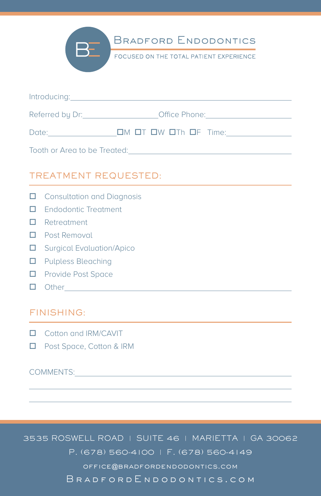

**BRADFORD ENDODONTICS** 

FOCUSED ON THE TOTAL PATIENT EXPERIENCE

| Introducing:                 |               |
|------------------------------|---------------|
| Referred by Dr:              | Office Phone: |
| Date:                        |               |
| Tooth or Area to be Treated: |               |

## TREATMENT REQUESTED:

- $\Box$  Consultation and Diagnosis
- $\Box$  Endodontic Treatment
- $\Box$  Retreatment
- $\Box$  Post Removal
- $\square$  Surgical Evaluation/Apico
- $\Box$  Pulpless Bleaching
- $\Box$  Provide Post Space
- $\Box$  Other  $\Box$

## FINISHING:

- $\Box$  Cotton and IRM/CAVIT
- □ Post Space, Cotton & IRM

## COMMENTS:

l.  $\overline{\phantom{a}}$ 

3535 ROSWELL ROAD | SUITE 46 | MARIETTA | GA 30062 P. (678) 560-4100 | F. (678) 560-4149 office@bradfordendodontics.com BradfordEndodontics.com